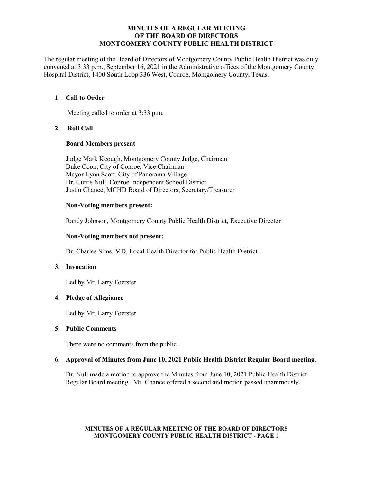### **MINUTES OF A REGULAR MEETING OF THE BOARD OF DIRECTORS MONTGOMERY COUNTY PUBLIC HEALTH DISTRICT**

The regular meeting of the Board of Directors of Montgomery County Public Health District was duly convened at 3:33 p.m., September 16, 2021 in the Administrative offices of the Montgomery County Hospital District, 1400 South Loop 336 West, Conroe, Montgomery County, Texas.

# **1. Call to Order**

Meeting called to order at 3:33 p.m.

# **2. Roll Call**

### **Board Members present**

Judge Mark Keough, Montgomery County Judge, Chairman Duke Coon, City of Conroe, Vice Chairman Mayor Lynn Scott, City of Panorama Village Dr. Curtis Null, Conroe Independent School District Justin Chance, MCHD Board of Directors, Secretary/Treasurer

# **Non-Voting members present:**

Randy Johnson, Montgomery County Public Health District, Executive Director

# **Non-Voting members not present:**

Dr. Charles Sims, MD, Local Health Director for Public Health District

# **3. Invocation**

Led by Mr. Larry Foerster

# **4. Pledge of Allegiance**

Led by Mr. Larry Foerster

#### **5. Public Comments**

There were no comments from the public.

# **6. Approval of Minutes from June 10, 2021 Public Health District Regular Board meeting.**

Dr. Null made a motion to approve the Minutes from June 10, 2021 Public Health District Regular Board meeting. Mr. Chance offered a second and motion passed unanimously.

### **MINUTES OF A REGULAR MEETING OF THE BOARD OF DIRECTORS MONTGOMERY COUNTY PUBLIC HEALTH DISTRICT - PAGE 1**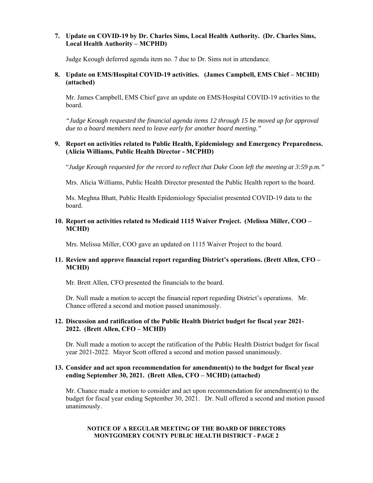# **7. Update on COVID-19 by Dr. Charles Sims, Local Health Authority. (Dr. Charles Sims, Local Health Authority – MCPHD)**

Judge Keough deferred agenda item no. 7 due to Dr. Sims not in attendance.

# **8. Update on EMS/Hospital COVID-19 activities. (James Campbell, EMS Chief – MCHD) (attached)**

Mr. James Campbell, EMS Chief gave an update on EMS/Hospital COVID-19 activities to the board.

*"Judge Keough requested the financial agenda items 12 through 15 be moved up for approval due to a board members need to leave early for another board meeting."* 

### **9. Report on activities related to Public Health, Epidemiology and Emergency Preparedness. (Alicia Williams, Public Health Director - MCPHD)**

"*Judge Keough requested for the record to reflect that Duke Coon left the meeting at 3:59 p.m."* 

Mrs. Alicia Williams, Public Health Director presented the Public Health report to the board.

Ms. Meghna Bhatt, Public Health Epidemiology Specialist presented COVID-19 data to the board.

# **10. Report on activities related to Medicaid 1115 Waiver Project. (Melissa Miller, COO – MCHD)**

Mrs. Melissa Miller, COO gave an updated on 1115 Waiver Project to the board.

# **11. Review and approve financial report regarding District's operations. (Brett Allen, CFO – MCHD)**

Mr. Brett Allen, CFO presented the financials to the board.

Dr. Null made a motion to accept the financial report regarding District's operations. Mr. Chance offered a second and motion passed unanimously.

# **12. Discussion and ratification of the Public Health District budget for fiscal year 2021- 2022. (Brett Allen, CFO – MCHD)**

Dr. Null made a motion to accept the ratification of the Public Health District budget for fiscal year 2021-2022. Mayor Scott offered a second and motion passed unanimously.

### **13. Consider and act upon recommendation for amendment(s) to the budget for fiscal year ending September 30, 2021. (Brett Allen, CFO – MCHD) (attached)**

Mr. Chance made a motion to consider and act upon recommendation for amendment(s) to the budget for fiscal year ending September 30, 2021. Dr. Null offered a second and motion passed unanimously.

### **NOTICE OF A REGULAR MEETING OF THE BOARD OF DIRECTORS MONTGOMERY COUNTY PUBLIC HEALTH DISTRICT - PAGE 2**